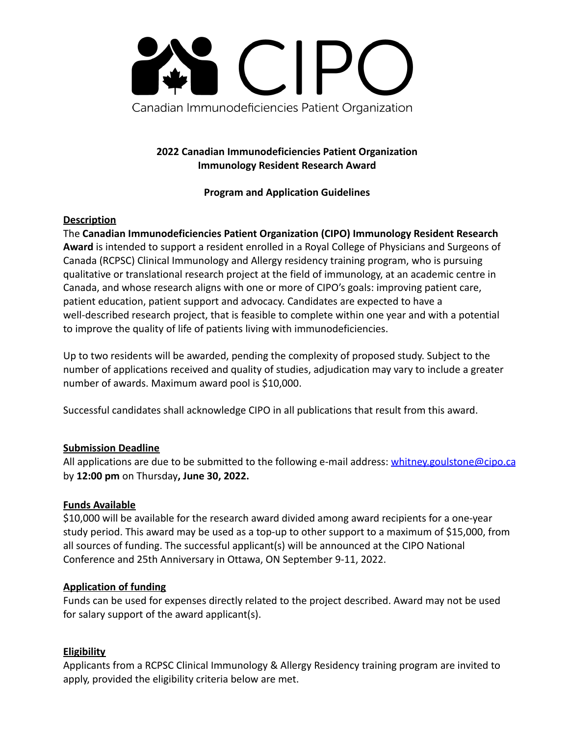

**2022 Canadian Immunodeficiencies Patient Organization Immunology Resident Research Award**

### **Program and Application Guidelines**

## **Description**

The **Canadian Immunodeficiencies Patient Organization (CIPO) Immunology Resident Research Award** is intended to support a resident enrolled in a Royal College of Physicians and Surgeons of Canada (RCPSC) Clinical Immunology and Allergy residency training program, who is pursuing qualitative or translational research project at the field of immunology, at an academic centre in Canada, and whose research aligns with one or more of CIPO's goals: improving patient care, patient education, patient support and advocacy. Candidates are expected to have a well-described research project, that is feasible to complete within one year and with a potential to improve the quality of life of patients living with immunodeficiencies.

Up to two residents will be awarded, pending the complexity of proposed study. Subject to the number of applications received and quality of studies, adjudication may vary to include a greater number of awards. Maximum award pool is \$10,000.

Successful candidates shall acknowledge CIPO in all publications that result from this award.

#### **Submission Deadline**

All applications are due to be submitted to the following e-mail address: [whitney.goulstone@cipo.ca](mailto:whitney.goulstone@cipo.ca) by **12:00 pm** on Thursday**, June 30, 2022.**

## **Funds Available**

\$10,000 will be available for the research award divided among award recipients for a one-year study period. This award may be used as a top-up to other support to a maximum of \$15,000, from all sources of funding. The successful applicant(s) will be announced at the CIPO National Conference and 25th Anniversary in Ottawa, ON September 9-11, 2022.

#### **Application of funding**

Funds can be used for expenses directly related to the project described. Award may not be used for salary support of the award applicant(s).

## **Eligibility**

Applicants from a RCPSC Clinical Immunology & Allergy Residency training program are invited to apply, provided the eligibility criteria below are met.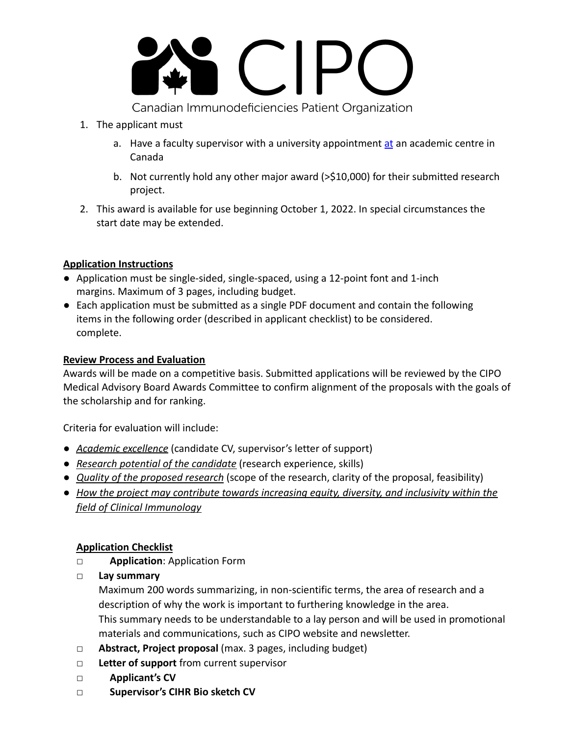Canadian Immunodeficiencies Patient Organization

- 1. The applicant must
	- a. Have a faculty supervisor with a university appointment at an academic centre in Canada
	- b. Not currently hold any other major award (>\$10,000) for their submitted research project.
- 2. This award is available for use beginning October 1, 2022. In special circumstances the start date may be extended.

# **Application Instructions**

- Application must be single-sided, single-spaced, using a 12-point font and 1-inch margins. Maximum of 3 pages, including budget.
- Each application must be submitted as a single PDF document and contain the following items in the following order (described in applicant checklist) to be considered. complete.

## **Review Process and Evaluation**

Awards will be made on a competitive basis. Submitted applications will be reviewed by the CIPO Medical Advisory Board Awards Committee to confirm alignment of the proposals with the goals of the scholarship and for ranking.

Criteria for evaluation will include:

- *Academic excellence* (candidate CV, supervisor's letter of support)
- *Research potential of the candidate* (research experience, skills)
- *Quality of the proposed research* (scope of the research, clarity of the proposal, feasibility)
- *How the project may contribute towards increasing equity, diversity, and inclusivity within the field of Clinical Immunology*

# **Application Checklist**

- □ **Application**: Application Form
- □ **Lay summary**

Maximum 200 words summarizing, in non-scientific terms, the area of research and a description of why the work is important to furthering knowledge in the area. This summary needs to be understandable to a lay person and will be used in promotional materials and communications, such as CIPO website and newsletter.

- □ **Abstract, Project proposal** (max. 3 pages, including budget)
- □ **Letter of support** from current supervisor
- □ **Applicant's CV**
- **□ Supervisor's CIHR Bio sketch CV**